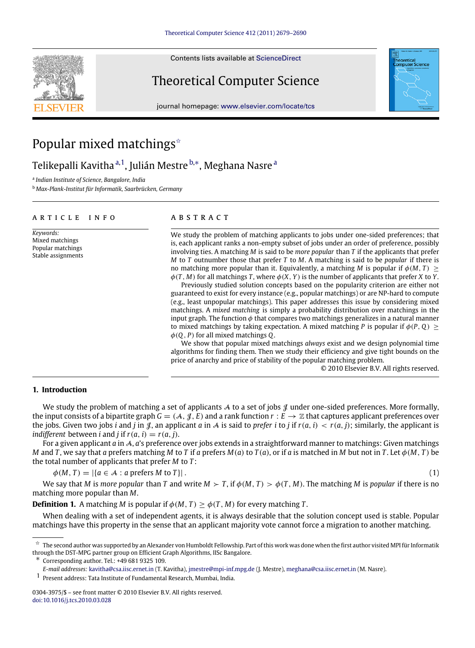Contents lists available at [ScienceDirect](http://www.elsevier.com/locate/tcs)

# Theoretical Computer Science

journal homepage: [www.elsevier.com/locate/tcs](http://www.elsevier.com/locate/tcs)

# Popular mixed matchings<sup> $\star$ </sup>

Telikep[a](#page-0-1)lli Kavitha <sup>a, 1</sup>, Julián Mestre <sup>[b,](#page-0-3)</sup>\*, Meghana Nasre <sup>a</sup>

<span id="page-0-1"></span>a *Indian Institute of Science, Bangalore, India*

<span id="page-0-3"></span><sup>b</sup> *Max-Plank-Institut für Informatik, Saarbrücken, Germany*

#### a r t i c l e i n f o

*Keywords:* Mixed matchings Popular matchings Stable assignments

# a b s t r a c t

We study the problem of matching applicants to jobs under one-sided preferences; that is, each applicant ranks a non-empty subset of jobs under an order of preference, possibly involving ties. A matching *M* is said to be *more popular* than *T* if the applicants that prefer *M* to *T* outnumber those that prefer *T* to *M*. A matching is said to be *popular* if there is no matching more popular than it. Equivalently, a matching *M* is popular if  $\phi(M, T) \geq$  $\phi(T, M)$  for all matchings T, where  $\phi(X, Y)$  is the number of applicants that prefer X to Y.

Previously studied solution concepts based on the popularity criterion are either not guaranteed to exist for every instance (e.g., popular matchings) or are NP-hard to compute (e.g., least unpopular matchings). This paper addresses this issue by considering mixed matchings. A *mixed matching* is simply a probability distribution over matchings in the input graph. The function  $\phi$  that compares two matchings generalizes in a natural manner to mixed matchings by taking expectation. A mixed matching *P* is popular if  $\phi(P, Q)$  > φ(*Q*, *P*) for all mixed matchings *Q*.

<span id="page-0-5"></span>We show that popular mixed matchings *always* exist and we design polynomial time algorithms for finding them. Then we study their efficiency and give tight bounds on the price of anarchy and price of stability of the popular matching problem.

© 2010 Elsevier B.V. All rights reserved.

# **1. Introduction**

We study the problem of matching a set of applicants  $A$  to a set of jobs  $\mathcal J$  under one-sided preferences. More formally, the input consists of a bipartite graph  $G = (A, \mathcal{J}, E)$  and a rank function  $r : E \to \mathbb{Z}$  that captures applicant preferences over the jobs. Given two jobs *i* and *j* in  $\mathcal{J}$ , an applicant *a* in A is said to *prefer i* to *j* if  $r(a, i) < r(a, j)$ ; similarly, the applicant is *indifferent* between *i* and *j* if  $r(a, i) = r(a, j)$ .

For a given applicant *a* in A, *a*'s preference over jobs extends in a straightforward manner to matchings: Given matchings M and T, we say that a prefers matching M to T if a prefers  $M(a)$  to  $T(a)$ , or if a is matched in M but not in T. Let  $\phi(M, T)$  be the total number of applicants that prefer *M* to *T* :

 $\phi(M, T) = |\{a \in \mathcal{A} : a \text{ prefers } M \text{ to } T\}|.$  (1)

We say that *M* is *more popular* than *T* and write  $M > T$ , if  $\phi(M, T) > \phi(T, M)$ . The matching *M* is *popular* if there is no matching more popular than *M*.

**Definition 1.** A matching *M* is popular if  $\phi(M, T) \geq \phi(T, M)$  for every matching *T*.

When dealing with a set of independent agents, it is always desirable that the solution concept used is stable. Popular matchings have this property in the sense that an applicant majority vote cannot force a migration to another matching.

<span id="page-0-4"></span>∗ Corresponding author. Tel.: +49 681 9325 109.

<span id="page-0-2"></span>1 Present address: Tata Institute of Fundamental Research, Mumbai, India.





<span id="page-0-0"></span> $\hat{\star}\;$  The second author was supported by an Alexander von Humboldt Fellowship. Part of this work was done when the first author visited MPI für Informatik through the DST-MPG partner group on Efficient Graph Algorithms, IISc Bangalore.

*E-mail addresses:* [kavitha@csa.iisc.ernet.in](mailto:kavitha@csa.iisc.ernet.in) (T. Kavitha), [jmestre@mpi-inf.mpg.de](mailto:jmestre@mpi-inf.mpg.de) (J. Mestre), [meghana@csa.iisc.ernet.in](mailto:meghana@csa.iisc.ernet.in) (M. Nasre).

<sup>0304-3975/\$ –</sup> see front matter © 2010 Elsevier B.V. All rights reserved. [doi:10.1016/j.tcs.2010.03.028](http://dx.doi.org/10.1016/j.tcs.2010.03.028)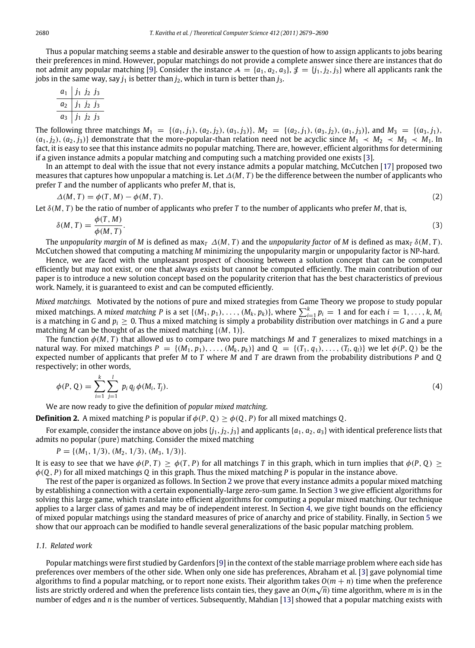Thus a popular matching seems a stable and desirable answer to the question of how to assign applicants to jobs bearing their preferences in mind. However, popular matchings do not provide a complete answer since there are instances that do not admit any popular matching [\[9\]](#page-11-0). Consider the instance  $A = \{a_1, a_2, a_3\}$ ,  $\mathcal{J} = \{j_1, j_2, j_3\}$  where all applicants rank the jobs in the same way, say  $j_1$  is better than  $j_2$ , which in turn is better than  $j_3$ .

$$
\begin{array}{c|cc}\n a_1 & j_1 & j_2 & j_3 \\
\hline\n a_2 & j_1 & j_2 & j_3 \\
 \hline\n a_3 & j_1 & j_2 & j_3\n\end{array}
$$

The following three matchings  $M_1 = \{(a_1, j_1), (a_2, j_2), (a_3, j_3)\}\$ ,  $M_2 = \{(a_2, j_1), (a_3, j_2), (a_1, j_3)\}\$ , and  $M_3 = \{(a_3, j_1), (a_2, j_2), (a_3, j_3)\}\$  $(a_1, j_2), (a_2, j_3)$  demonstrate that the more-popular-than relation need not be acyclic since  $M_1 \prec M_2 \prec M_3 \prec M_1$ . In fact, it is easy to see that this instance admits no popular matching. There are, however, efficient algorithms for determining if a given instance admits a popular matching and computing such a matching provided one exists [\[3\]](#page-11-1).

In an attempt to deal with the issue that not every instance admits a popular matching, McCutchen [\[17\]](#page-11-2) proposed two measures that captures how unpopular a matching is. Let ∆(*M*, *T* ) be the difference between the number of applicants who prefer *T* and the number of applicants who prefer *M*, that is,

$$
\Delta(M, T) = \phi(T, M) - \phi(M, T). \tag{2}
$$

Let δ(*M*, *T* ) be the ratio of number of applicants who prefer *T* to the number of applicants who prefer *M*, that is,

$$
\delta(M,T) = \frac{\phi(T,M)}{\phi(M,T)}.
$$
\n(3)

The *unpopularity margin* of *M* is defined as max<sub>*T*</sub>  $\Delta(M, T)$  and the *unpopularity factor* of *M* is defined as max<sub>*T*</sub>  $\delta(M, T)$ . McCutchen showed that computing a matching *M* minimizing the unpopularity margin or unpopularity factor is NP-hard.

Hence, we are faced with the unpleasant prospect of choosing between a solution concept that can be computed efficiently but may not exist, or one that always exists but cannot be computed efficiently. The main contribution of our paper is to introduce a new solution concept based on the popularity criterion that has the best characteristics of previous work. Namely, it is guaranteed to exist and can be computed efficiently.

*Mixed matchings.* Motivated by the notions of pure and mixed strategies from Game Theory we propose to study popular mixed matchings. A mixed matching P is a set  $\{(M_1, p_1), \ldots, (M_k, p_k)\}$ , where  $\sum_{i=1}^k p_i = 1$  and for each  $i = 1, \ldots, k, M_k$ is a matching in *<sup>G</sup>* and *<sup>p</sup><sup>i</sup>* ≥ 0. Thus a mixed matching is simply a probability distribution over matchings in *<sup>G</sup>* and a pure matching *<sup>M</sup>* can be thought of as the mixed matching {(*M*, <sup>1</sup>)}.

The function  $\phi(M, T)$  that allowed us to compare two pure matchings *M* and *T* generalizes to mixed matchings in a natural way. For mixed matchings  $P = \{(M_1, p_1), \ldots, (M_k, p_k)\}\$  and  $Q = \{(T_1, q_1), \ldots, (T_l, q_l)\}\$ we let  $\phi(P, Q)$  be the expected number of applicants that prefer *M* to *T* where *M* and *T* are drawn from the probability distributions *P* and *Q* respectively; in other words,

$$
\phi(P, Q) = \sum_{i=1}^{k} \sum_{j=1}^{l} p_i q_j \phi(M_i, T_j).
$$
\n(4)

We are now ready to give the definition of *popular mixed matching*.

**Definition 2.** A mixed matching *P* is popular if  $\phi(P, Q) > \phi(Q, P)$  for all mixed matchings *Q*.

For example, consider the instance above on jobs  $\{j_1, j_2, j_3\}$  and applicants  $\{a_1, a_2, a_3\}$  with identical preference lists that admits no popular (pure) matching. Consider the mixed matching

 $P = \{(M_1, 1/3), (M_2, 1/3), (M_3, 1/3)\}.$ 

It is easy to see that we have  $\phi(P, T) \geq \phi(T, P)$  for all matchings *T* in this graph, which in turn implies that  $\phi(P, Q) \geq$ φ(*Q*, *P*) for all mixed matchings *Q* in this graph. Thus the mixed matching *P* is popular in the instance above.

The rest of the paper is organized as follows. In Section [2](#page-2-0) we prove that every instance admits a popular mixed matching by establishing a connection with a certain exponentially-large zero-sum game. In Section [3](#page-3-0) we give efficient algorithms for solving this large game, which translate into efficient algorithms for computing a popular mixed matching. Our technique applies to a larger class of games and may be of independent interest. In Section [4,](#page-6-0) we give tight bounds on the efficiency of mixed popular matchings using the standard measures of price of anarchy and price of stability. Finally, in Section [5](#page-7-0) we show that our approach can be modified to handle several generalizations of the basic popular matching problem.

#### *1.1. Related work*

Popular matchings were first studied by Gardenfors [\[9\]](#page-11-0) in the context of the stable marriage problem where each side has preferences over members of the other side. When only one side has preferences, Abraham et al. [\[3\]](#page-11-1) gave polynomial time algorithms to find a popular matching, or to report none exists. Their algorithm takes  $O(m + n)$  time when the preference lists are strictly ordered and when the preference lists contain ties, they gave an *O*(*m* √ *n*) time algorithm, where *m* is in the number of edges and *n* is the number of vertices. Subsequently, Mahdian [\[13\]](#page-11-3) showed that a popular matching exists with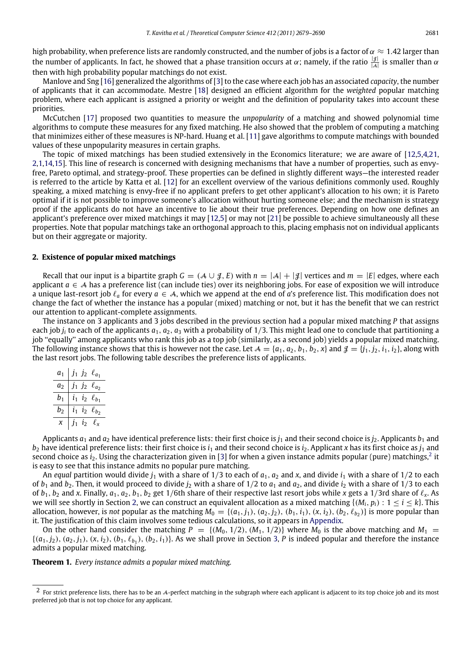high probability, when preference lists are randomly constructed, and the number of jobs is a factor of  $\alpha \approx 1.42$  larger than the number of applicants. In fact, he showed that a phase transition occurs at  $\alpha$ ; namely, if the ratio  $\frac{|\mathcal{J}|}{|\mathcal{A}|}$  is smaller than  $\alpha$ then with high probability popular matchings do not exist.

Manlove and Sng [\[16\]](#page-11-4) generalized the algorithms of [\[3\]](#page-11-1) to the case where each job has an associated *capacity*, the number of applicants that it can accommodate. Mestre [\[18\]](#page-11-5) designed an efficient algorithm for the *weighted* popular matching problem, where each applicant is assigned a priority or weight and the definition of popularity takes into account these priorities.

McCutchen [\[17\]](#page-11-2) proposed two quantities to measure the *unpopularity* of a matching and showed polynomial time algorithms to compute these measures for any fixed matching. He also showed that the problem of computing a matching that minimizes either of these measures is NP-hard. Huang et al. [\[11\]](#page-11-6) gave algorithms to compute matchings with bounded values of these unpopularity measures in certain graphs.

The topic of mixed matchings has been studied extensively in the Economics literature; we are aware of [\[12](#page-11-7)[,5](#page-11-8)[,4,](#page-11-9)[21,](#page-11-10) [2,](#page-11-11)[1,](#page-11-12)[14](#page-11-13)[,15\]](#page-11-14). This line of research is concerned with designing mechanisms that have a number of properties, such as envyfree, Pareto optimal, and strategy-proof. These properties can be defined in slightly different ways—the interested reader is referred to the article by Katta et al. [\[12\]](#page-11-7) for an excellent overview of the various definitions commonly used. Roughly speaking, a mixed matching is envy-free if no applicant prefers to get other applicant's allocation to his own; it is Pareto optimal if it is not possible to improve someone's allocation without hurting someone else; and the mechanism is strategy proof if the applicants do not have an incentive to lie about their true preferences. Depending on how one defines an applicant's preference over mixed matchings it may [\[12](#page-11-7)[,5\]](#page-11-8) or may not [\[21\]](#page-11-10) be possible to achieve simultaneously all these properties. Note that popular matchings take an orthogonal approach to this, placing emphasis not on individual applicants but on their aggregate or majority.

# <span id="page-2-0"></span>**2. Existence of popular mixed matchings**

Recall that our input is a bipartite graph  $G = (\mathcal{A} \cup \mathcal{J}, E)$  with  $n = |\mathcal{A}| + |\mathcal{J}|$  vertices and  $m = |E|$  edges, where each applicant *<sup>a</sup>* ∈ A has a preference list (can include ties) over its neighboring jobs. For ease of exposition we will introduce a unique last-resort job ℓ*<sup>a</sup>* for every *<sup>a</sup>* ∈ A, which we append at the end of *<sup>a</sup>*'s preference list. This modification does not change the fact of whether the instance has a popular (mixed) matching or not, but it has the benefit that we can restrict our attention to applicant-complete assignments.

The instance on 3 applicants and 3 jobs described in the previous section had a popular mixed matching *P* that assigns each job  $j_i$  to each of the applicants  $a_1, a_2, a_3$  with a probability of  $1/3$ . This might lead one to conclude that partitioning a job ''equally'' among applicants who rank this job as a top job (similarly, as a second job) yields a popular mixed matching. The following instance shows that this is however not the case. Let  $A = \{a_1, a_2, b_1, b_2, x\}$  and  $\mathcal{J} = \{j_1, j_2, i_1, i_2\}$ , along with the last resort jobs. The following table describes the preference lists of applicants.

| a1             | $J_1$ $J_2$ | $\ell_{a_1}$             |
|----------------|-------------|--------------------------|
| a <sub>2</sub> |             | $j_1 j_2 \ell_{a_2}$     |
| b <sub>1</sub> |             | $i_1$ $i_2$ $\ell_{b_1}$ |
| b <sub>2</sub> |             | $i_1$ $i_2$ $\ell_{b_2}$ |
| x              |             | $12^{-}$                 |

Applicants  $a_1$  and  $a_2$  have identical preference lists: their first choice is  $j_1$  and their second choice is  $j_2$ . Applicants  $b_1$  and  $b_2$  have identical preference lists: their first choice is  $i_1$  and their second choice is  $i_2$ . Applicant *x* has its first choice as  $j_1$  and second choice as  $i_2$  $i_2$ . Using the characterization given in [\[3\]](#page-11-1) for when a given instance admits popular (pure) matchings,<sup>2</sup> it is easy to see that this instance admits no popular pure matching.

An *equal* partition would divide  $j_1$  with a share of 1/3 to each of  $a_1$ ,  $a_2$  and x, and divide  $i_1$  with a share of 1/2 to each of  $b_1$  and  $b_2$ . Then, it would proceed to divide  $j_2$  with a share of  $1/2$  to  $a_1$  and  $a_2$ , and divide  $i_2$  with a share of  $1/3$  to each of  $b_1$ ,  $b_2$  and *x*. Finally,  $a_1$ ,  $a_2$ ,  $b_1$ ,  $b_2$  get 1/6th share of their respective last resort jobs while *x* gets a 1/3rd share of  $\ell_x$ . As we will see shortly in Section [2,](#page-2-0) we can construct an equivalent allocation as a mixed matching  $\{(M_i, p_i) : 1 \le i \le k\}$ . This allocation, however, is *not* popular as the matching  $M_0 = \{(a_1, j_1), (a_2, j_2), (b_1, i_1), (x, i_2), (b_2, \ell_{b_2})\}$  is more popular than it. The justification of this claim involves some tedious calculations, so it appears in [Appendix.](#page-11-15)

On the other hand consider the matching  $P = \{(M_0, 1/2), (M_1, 1/2)\}$  where  $M_0$  is the above matching and  $M_1 =$  ${(a_1, j_2), (a_2, j_1), (x, i_2), (b_1, \ell_{b_1}), (b_2, i_1)}$ . As we shall prove in Section [3,](#page-3-0) *P* is indeed popular and therefore the instance admits a popular mixed matching.

<span id="page-2-2"></span>**Theorem 1.** *Every instance admits a popular mixed matching.*

<span id="page-2-1"></span> $^2$  For strict preference lists, there has to be an A-perfect matching in the subgraph where each applicant is adjacent to its top choice job and its most preferred job that is not top choice for any applicant.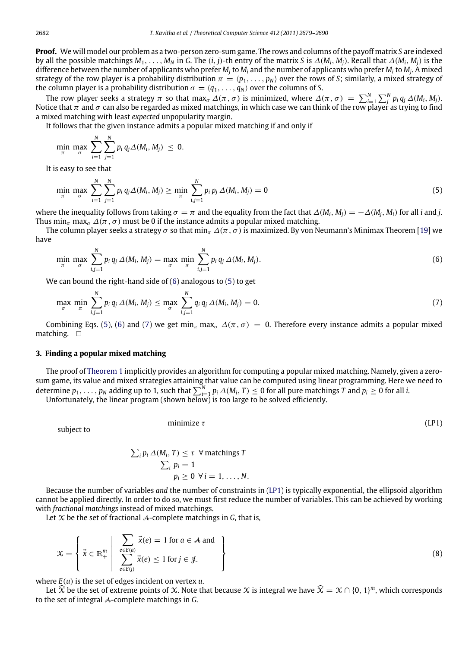**Proof.** We will model our problem as a two-person zero-sum game. The rows and columns of the payoff matrix *S* are indexed by all the possible matchings  $M_1, \ldots, M_N$  in G. The  $(i, j)$ -th entry of the matrix S is  $\Delta(M_i, M_i)$ . Recall that  $\Delta(M_i, M_i)$  is the difference between the number of applicants who prefer *M<sup>j</sup>* to *M<sup>i</sup>* and the number of applicants who prefer *M<sup>i</sup>* to *M<sup>j</sup>* . A mixed strategy of the row player is a probability distribution  $\pi = \langle p_1, \ldots, p_N \rangle$  over the rows of *S*; similarly, a mixed strategy of the column player is a probability distribution  $\sigma = \langle q_1, \ldots, q_N \rangle$  over the columns of *S*.

The row player seeks a strategy  $\pi$  so that max<sub> $\sigma$ </sub>  $\Delta(\pi, \sigma)$  is minimized, where  $\Delta(\pi, \sigma) = \sum_{i=1}^{N} \sum_{j=1}^{N} p_i q_j \Delta(M_i, M_j)$ . Notice that  $\pi$  and  $\sigma$  can also be regarded as mixed matchings, in which case we can think of the row player as trying to find a mixed matching with least *expected* unpopularity margin.

It follows that the given instance admits a popular mixed matching if and only if

$$
\min_{\pi} \; \max_{\sigma} \; \sum_{i=1}^{N} \sum_{j=1}^{N} p_i \, q_j \Delta(M_i, M_j) \; \leq \; 0.
$$

It is easy to see that

<span id="page-3-2"></span>
$$
\min_{\pi} \max_{\sigma} \sum_{i=1}^{N} \sum_{j=1}^{N} p_i q_j \Delta(M_i, M_j) \geq \min_{\pi} \sum_{i,j=1}^{N} p_i p_j \Delta(M_i, M_j) = 0
$$
\n(5)

where the inequality follows from taking  $\sigma = \pi$  and the equality from the fact that  $\Delta(M_i, M_i) = -\Delta(M_i, M_i)$  for all *i* and *j*. Thus min<sub>π</sub> max<sub>σ</sub>  $\Delta(\pi, \sigma)$  must be 0 if the instance admits a popular mixed matching.

The column player seeks a strategy  $\sigma$  so that min<sub>π</sub>  $\Delta(\pi, \sigma)$  is maximized. By von Neumann's Minimax Theorem [\[19\]](#page-11-16) we have

<span id="page-3-1"></span>
$$
\min_{\pi} \max_{\sigma} \sum_{i,j=1}^{N} p_i q_j \, \Delta(M_i, M_j) = \max_{\sigma} \min_{\pi} \sum_{i,j=1}^{N} p_i q_j \, \Delta(M_i, M_j). \tag{6}
$$

We can bound the right-hand side of [\(6\)](#page-3-1) analogous to [\(5\)](#page-3-2) to get

$$
\max_{\sigma} \min_{\pi} \sum_{i,j=1}^{N} p_i q_j \, \Delta(M_i, M_j) \leq \max_{\sigma} \sum_{i,j=1}^{N} q_i q_j \, \Delta(M_i, M_j) = 0. \tag{7}
$$

Combining Eqs. [\(5\)](#page-3-2), [\(6\)](#page-3-1) and [\(7\)](#page-3-3) we get min<sub>π</sub> max<sub>σ</sub>  $\Delta(\pi, \sigma) = 0$ . Therefore every instance admits a popular mixed matching.  $\Box$ 

#### <span id="page-3-0"></span>**3. Finding a popular mixed matching**

The proof of [Theorem 1](#page-2-2) implicitly provides an algorithm for computing a popular mixed matching. Namely, given a zerosum game, its value and mixed strategies attaining that value can be computed using linear programming. Here we need to determine  $p_1, \ldots, p_N$  adding up to 1, such that  $\sum_{i=1}^N p_i \Delta(M_i, T) \leq 0$  for all pure matchings *T* and  $p_i \geq 0$  for all *i*.

Unfortunately, the linear program (shown below) is too large to be solved efficiently.

subject to

<span id="page-3-4"></span><span id="page-3-3"></span>
$$
minimize \tau
$$
 (LP1)

$$
\sum_{i} p_{i} \, \Delta(M_{i}, T) \leq \tau \, \forall \text{ matchings } T
$$

$$
\sum_{i} p_{i} = 1
$$

$$
p_{i} \geq 0 \, \forall \, i = 1, \dots, N.
$$

Because the number of variables *and* the number of constraints in [\(LP1\)](#page-3-4) is typically exponential, the ellipsoid algorithm cannot be applied directly. In order to do so, we must first reduce the number of variables. This can be achieved by working with *fractional matchings* instead of mixed matchings.

<span id="page-3-5"></span>Let  $X$  be the set of fractional  $A$ -complete matchings in  $G$ , that is,

$$
\mathcal{X} = \left\{ \vec{x} \in \mathbb{R}^m_+ \middle| \sum_{e \in E(\vec{a})} \vec{x}(e) = 1 \text{ for } a \in \mathcal{A} \text{ and } \sum_{e \in E(\vec{b})} \vec{x}(e) \le 1 \text{ for } j \in \mathcal{J}.\right\}
$$
\n(8)

where *E*(*u*) is the set of edges incident on vertex *u*.

Let  $\widehat{X}$  be the set of extreme points of X. Note that because X is integral we have  $\widehat{X} = X \cap \{0, 1\}^m$ , which corresponds to the set of integral A-complete matchings in *G*.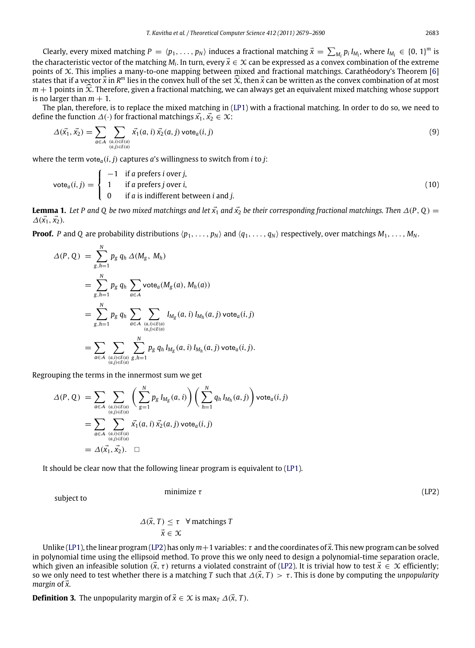Clearly, every mixed matching  $P = \langle p_1, \ldots, p_N \rangle$  induces a fractional matching  $\vec{x} = \sum_{M_i} p_i I_{M_i}$ , where  $I_{M_i} \in \{0, 1\}^m$  is the characteristic vector of the matching *M*<sub>*i*</sub>. In turn, every  $\vec{x} \in \mathcal{X}$  can be expressed as a convex combination of the extreme points of X. This implies a many-to-one mapping between mixed and fractional matchings. Carathéodory's Theorem [\[6\]](#page-11-17) states that if a vector  $\vec{x}$  in  $R^m$  lies in the convex hull of the set  $\hat{x}$ , then  $\vec{x}$  can be written as the convex combination of at most  $m+1$  points in  $\hat{X}$ . Therefore, given a fractional matching, we can always get an equivalent mixed matching whose support is no larger than  $m + 1$ .

The plan, therefore, is to replace the mixed matching in [\(LP1\)](#page-3-4) with a fractional matching. In order to do so, we need to define the function  $\Delta(\cdot)$  for fractional matchings  $\vec{x_1}, \vec{x_2} \in \mathcal{X}$ :

<span id="page-4-3"></span><span id="page-4-2"></span>
$$
\Delta(\vec{x_1}, \vec{x_2}) = \sum_{a \in \mathcal{A}} \sum_{\substack{(a,i) \in E(a) \\ (a,j) \in E(a)}} \vec{x_1}(a,i) \vec{x_2}(a,j) \text{ vote}_a(i,j)
$$
\n(9)

where the term  $\text{vote}_a(i, j)$  captures *a*'s willingness to switch from *i* to *j*:

$$
vote_a(i,j) = \begin{cases}\n-1 & \text{if } a \text{ prefers } i \text{ over } j, \\
1 & \text{if } a \text{ prefers } j \text{ over } i, \\
0 & \text{if } a \text{ is indifferent between } i \text{ and } j.\n\end{cases}
$$
\n(10)

<span id="page-4-1"></span>**Lemma 1.** Let P and Q be two mixed matchings and let  $\vec{x_1}$  and  $\vec{x_2}$  be their corresponding fractional matchings. Then  $\Delta(P, Q)$  =  $\Delta(\vec{x_1}, \vec{x_2})$ .

**Proof.** *P* and *Q* are probability distributions  $\langle p_1, \ldots, p_N \rangle$  and  $\langle q_1, \ldots, q_N \rangle$  respectively, over matchings  $M_1, \ldots, M_N$ .

$$
\Delta(P, Q) = \sum_{g,h=1}^{N} p_g q_h \, \Delta(M_g, M_h)
$$
  
= 
$$
\sum_{g,h=1}^{N} p_g q_h \sum_{a \in A} \text{vote}_a(M_g(a), M_h(a))
$$
  
= 
$$
\sum_{g,h=1}^{N} p_g q_h \sum_{a \in A} \sum_{\substack{(a,i) \in E(a) \\ (a,j) \in E(a) \\ (a,j) \in E(a)}} I_{M_g}(a, i) I_{M_h}(a, j) \text{ vote}_a(i, j)
$$
  
= 
$$
\sum_{a \in A} \sum_{\substack{(a,i) \in E(a) \\ (a,j) \in E(a)}} \sum_{g,h=1}^{N} p_g q_h I_{M_g}(a, i) I_{M_h}(a, j) \text{ vote}_a(i, j).
$$

Regrouping the terms in the innermost sum we get

$$
\Delta(P, Q) = \sum_{a \in A} \sum_{\substack{(a,i) \in E(a) \\ (a,j) \in E(a) \\ (a,j) \in E(a)}} \left( \sum_{g=1}^{N} p_g I_{M_g}(a, i) \right) \left( \sum_{h=1}^{N} q_h I_{M_h}(a, j) \right) \text{vote}_a(i, j)
$$

$$
= \sum_{a \in A} \sum_{\substack{(a,i) \in E(a) \\ (a,j) \in E(a) \\ (a,j) \in E(a)}} \vec{x_1}(a, i) \vec{x_2}(a, j) \text{ vote}_a(i, j)
$$

$$
= \Delta(\vec{x_1}, \vec{x_2}). \quad \Box
$$

It should be clear now that the following linear program is equivalent to [\(LP1\)](#page-3-4).

subject to

<span id="page-4-0"></span>
$$
minimize \tau
$$
 (LP2)

 $\Delta(\vec{x}, T) \leq \tau$   $\forall$  matchings *T*  $\vec{x} \in \mathcal{X}$ 

Unlike [\(LP1\)](#page-3-4), the linear progra[m \(LP2\)](#page-4-0) has only  $m+1$  variables:  $\tau$  and the coordinates of  $\vec{x}$ . This new program can be solved in polynomial time using the ellipsoid method. To prove this we only need to design a polynomial-time separation oracle, which given an infeasible solution  $(\vec{x}, \tau)$  returns a violated constraint of [\(LP2\)](#page-4-0). It is trivial how to test  $\vec{x} \in \mathcal{X}$  efficiently; so we only need to test whether there is a matching *T* such that  $\Delta(\vec{x}, T) > \tau$ . This is done by computing the *unpopularity margin* of  $\vec{x}$ *.* 

**Definition 3.** The unpopularity margin of  $\vec{x} \in \mathcal{X}$  is max<sub>*T*</sub>  $\Delta(\vec{x}, T)$ .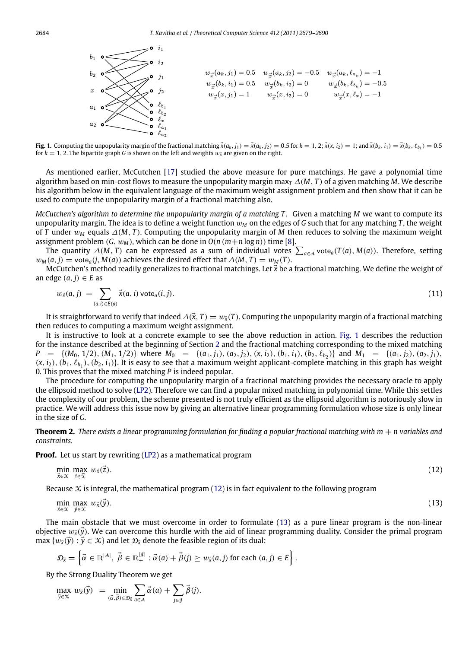<span id="page-5-0"></span>

**Fig. 1.** Computing the unpopularity margin of the fractional matching  $\vec{x}(a_k, j_1) = \vec{x}(a_k, j_2) = 0.5$  for  $k = 1, 2$ ;  $\vec{x}(x, i_2) = 1$ ; and  $\vec{x}(b_k, i_1) = \vec{x}(b_k, \ell_{b_k}) = 0.5$ for  $k = 1$ , 2. The bipartite graph *G* is shown on the left and weights  $w_{\tilde{x}}$  are given on the right.

As mentioned earlier, McCutchen [\[17\]](#page-11-2) studied the above measure for pure matchings. He gave a polynomial time algorithm based on min-cost flows to measure the unpopularity margin max<sub>*T*</sub>  $\Delta(M, T)$  of a given matching *M*. We describe his algorithm below in the equivalent language of the maximum weight assignment problem and then show that it can be used to compute the unpopularity margin of a fractional matching also.

*McCutchen's algorithm to determine the unpopularity margin of a matching T .* Given a matching *M* we want to compute its unpopularity margin. The idea is to define a weight function  $w<sub>M</sub>$  on the edges of *G* such that for any matching *T*, the weight of *T* under w*<sup>M</sup>* equals ∆(*M*, *T* ). Computing the unpopularity margin of *M* then reduces to solving the maximum weight assignment problem  $(G, w_M)$ , which can be done in  $O(n(m+n \log n))$  time [\[8\]](#page-11-18).

The quantity  $\Delta(M, T)$  can be expressed as a sum of individual votes  $\sum_{a \in A} \text{vote}_a(T(a), M(a))$ . Therefore, setting  $w_M(a, j) = \text{vote}_a(j, M(a))$  achieves the desired effect that  $\Delta(M, T) = w_M(T)$ .

McCutchen's method readily generalizes to fractional matchings. Let  $\vec{x}$  be a fractional matching. We define the weight of an edge  $(a, j) \in E$  as

$$
w_{\vec{\lambda}}(a,j) = \sum_{(a,i)\in E(a)} \vec{\lambda}(a,i) \operatorname{vote}_a(i,j). \tag{11}
$$

It is straightforward to verify that indeed  $\Delta(\vec{x}, T) = w_{\vec{x}}(T)$ . Computing the unpopularity margin of a fractional matching then reduces to computing a maximum weight assignment.

It is instructive to look at a concrete example to see the above reduction in action. [Fig. 1](#page-5-0) describes the reduction for the instance described at the beginning of Section [2](#page-2-0) and the fractional matching corresponding to the mixed matching  $P = \{(M_0, 1/2), (M_1, 1/2)\}\$  where  $M_0 = \{(a_1, j_1), (a_2, j_2), (x, i_2), (b_1, i_1), (b_2, \ell_{b_2})\}\$  and  $M_1 = \{(a_1, j_2), (a_2, j_1), (a_2, j_2), (a_2, j_1)\}\$  $(x, i_2)$ ,  $(b_1, \ell_{b_1})$ ,  $(b_2, i_1)$ . It is easy to see that a maximum weight applicant-complete matching in this graph has weight 0. This proves that the mixed matching *P* is indeed popular.

The procedure for computing the unpopularity margin of a fractional matching provides the necessary oracle to apply the ellipsoid method to solve [\(LP2\)](#page-4-0). Therefore we can find a popular mixed matching in polynomial time. While this settles the complexity of our problem, the scheme presented is not truly efficient as the ellipsoid algorithm is notoriously slow in practice. We will address this issue now by giving an alternative linear programming formulation whose size is only linear in the size of *G*.

**Theorem 2.** *There exists a linear programming formulation for finding a popular fractional matching with m* + *n variables and constraints.*

**Proof.** Let us start by rewriting [\(LP2\)](#page-4-0) as a mathematical program

<span id="page-5-2"></span><span id="page-5-1"></span>
$$
\min_{\vec{x} \in \mathcal{X}} \max_{\vec{z} \in \widehat{\mathcal{X}}} w_{\vec{x}}(\vec{z}). \tag{12}
$$

Because  $\chi$  is integral, the mathematical program [\(12\)](#page-5-1) is in fact equivalent to the following program

$$
\min_{\vec{x} \in \mathcal{X}} \max_{\vec{y} \in \mathcal{X}} w_{\vec{x}}(\vec{y}). \tag{13}
$$

The main obstacle that we must overcome in order to formulate [\(13\)](#page-5-2) as a pure linear program is the non-linear objective  $w_{\bar{x}}(\vec{y})$ . We can overcome this hurdle with the aid of linear programming duality. Consider the primal program max  $\{w_{\vec{x}}(\vec{y}) : \vec{y} \in \mathcal{X}\}\$  and let  $\mathcal{D}_{\vec{x}}$  denote the feasible region of its dual:

$$
\mathcal{D}_{\vec{x}} = \left\{ \vec{\alpha} \in \mathbb{R}^{|\mathcal{A}|}, \ \vec{\beta} \in \mathbb{R}^{|\mathcal{J}|}_+ : \vec{\alpha}(a) + \vec{\beta}(j) \geq w_{\vec{x}}(a,j) \text{ for each } (a,j) \in E \right\}.
$$

By the Strong Duality Theorem we get

$$
\max_{\vec{y}\in\mathcal{X}}\ w_{\vec{x}}(\vec{y})\ =\min_{(\vec{\alpha},\vec{\beta})\in\mathcal{D}_{\vec{x}}} \sum_{a\in\mathcal{A}}\vec{\alpha}(a)+\sum_{j\in\mathcal{J}}\vec{\beta}(j).
$$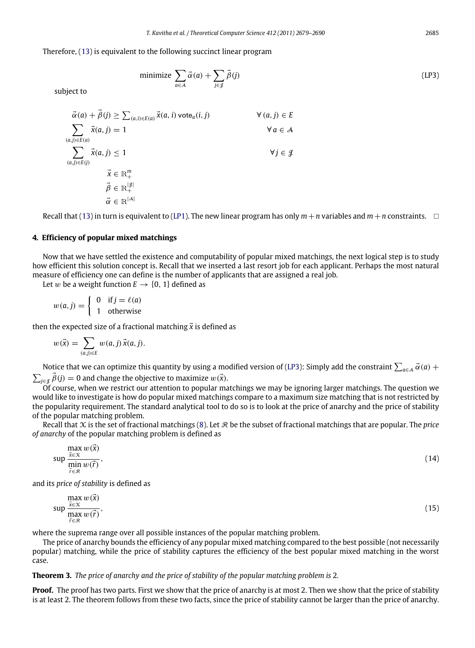Therefore, [\(13\)](#page-5-2) is equivalent to the following succinct linear program

<span id="page-6-1"></span>minimize 
$$
\sum_{a \in A} \vec{\alpha}(a) + \sum_{j \in \mathcal{J}} \vec{\beta}(j)
$$
 (LP3)

subject to

$$
\vec{\alpha}(a) + \vec{\beta}(j) \ge \sum_{(a,i) \in E(a)} \vec{x}(a,i) \text{ vote}_a(i,j) \qquad \forall (a,j) \in E
$$
\n
$$
\sum_{(a,j) \in E(a)} \vec{x}(a,j) = 1 \qquad \forall a \in A
$$
\n
$$
\sum_{(a,j) \in E(j)} \vec{x}(a,j) \le 1 \qquad \forall j \in \mathcal{J}
$$
\n
$$
\vec{x} \in \mathbb{R}^m_+
$$
\n
$$
\vec{\beta} \in \mathbb{R}^{|\mathcal{J}|}_+
$$
\n
$$
\vec{\alpha} \in \mathbb{R}^{|\mathcal{A}|}_+
$$

Recall that [\(13\)](#page-5-2) in turn is equivalent to [\(LP1\)](#page-3-4). The new linear program has only  $m+n$  variables and  $m+n$  constraints.  $\Box$ 

## <span id="page-6-0"></span>**4. Efficiency of popular mixed matchings**

Now that we have settled the existence and computability of popular mixed matchings, the next logical step is to study how efficient this solution concept is. Recall that we inserted a last resort job for each applicant. Perhaps the most natural measure of efficiency one can define is the number of applicants that are assigned a real job.

Let w be a weight function  $E \rightarrow \{0, 1\}$  defined as

$$
w(a,j) = \begin{cases} 0 & \text{if } j = \ell(a) \\ 1 & \text{otherwise} \end{cases}
$$

then the expected size of a fractional matching  $\vec{x}$  is defined as

$$
w(\vec{x}) = \sum_{(a,j)\in E} w(a,j) \, \vec{x}(a,j).
$$

Notice that we can optimize this quantity by using a modified version of [\(LP3\)](#page-6-1): Simply add the constraint  $\sum_{a\in A}\vec{\alpha}(a)$  +  $\sum_{j \in \mathcal{J}} \vec{\beta}(j) = 0$  and change the objective to maximize  $w(\vec{x})$ .

Of course, when we restrict our attention to popular matchings we may be ignoring larger matchings. The question we would like to investigate is how do popular mixed matchings compare to a maximum size matching that is not restricted by the popularity requirement. The standard analytical tool to do so is to look at the price of anarchy and the price of stability of the popular matching problem.

Recall that  $X$  is the set of fractional matchings [\(8\)](#page-3-5). Let  $R$  be the subset of fractional matchings that are popular. The *price of anarchy* of the popular matching problem is defined as

$$
\sup \frac{\max \limits_{\vec{x} \in \mathcal{X}} w(\vec{x})}{\min \limits_{\vec{r} \in \mathcal{R}} w(\vec{r})},
$$
\n(14)

and its *price of stability* is defined as

$$
\sup_{\substack{\vec{x}\in\mathcal{X}\\\vec{r}\in\mathcal{R}}} \frac{\max w(\vec{x})}{w(\vec{r})},
$$
\n(15)

where the suprema range over all possible instances of the popular matching problem.

The price of anarchy bounds the efficiency of any popular mixed matching compared to the best possible (not necessarily popular) matching, while the price of stability captures the efficiency of the best popular mixed matching in the worst case.

# **Theorem 3.** *The price of anarchy and the price of stability of the popular matching problem is* 2*.*

**Proof.** The proof has two parts. First we show that the price of anarchy is at most 2. Then we show that the price of stability is at least 2. The theorem follows from these two facts, since the price of stability cannot be larger than the price of anarchy.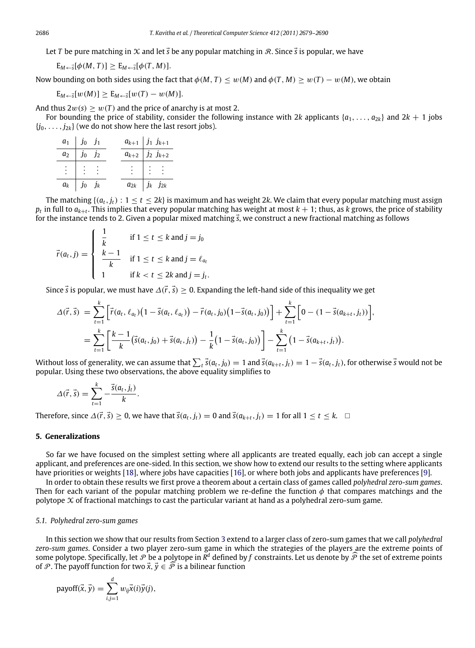Let *T* be pure matching in X and let  $\vec{s}$  be any popular matching in R. Since  $\vec{s}$  is popular, we have

$$
E_{M\leftarrow \vec{s}}[\phi(M,T)] \geq E_{M\leftarrow \vec{s}}[\phi(T,M)].
$$

Now bounding on both sides using the fact that  $\phi(M, T) \leq w(M)$  and  $\phi(T, M) \geq w(T) - w(M)$ , we obtain

$$
E_{M \leftarrow \vec{s}}[w(M)] \ge E_{M \leftarrow \vec{s}}[w(T) - w(M)].
$$

And thus  $2w(s) > w(T)$  and the price of anarchy is at most 2.

For bounding the price of stability, consider the following instance with 2*k* applicants  $\{a_1, \ldots, a_{2k}\}\$  and  $2k + 1$  jobs  $\{j_0, \ldots, j_{2k}\}$  (we do not show here the last resort jobs).

| $a_1$   $j_0$ $j_1$                                     | $a_{k+1}$   $j_1$ $j_{k+1}$                             |
|---------------------------------------------------------|---------------------------------------------------------|
| $a_2$ $j_0$ $j_2$                                       | $a_{k+2}$   $j_2$ $j_{k+2}$                             |
| $\frac{1}{2}$ $\frac{1}{2}$ $\frac{1}{2}$ $\frac{1}{2}$ | $\frac{1}{2}$ $\frac{1}{2}$ $\frac{1}{2}$ $\frac{1}{2}$ |
| $a_k$   $j_0$ $j_k$                                     | $a_{2k}$   $j_k$ $j_{2k}$                               |

The matching  $\{(a_t, j_t): 1 \le t \le 2k\}$  is maximum and has weight 2*k*. We claim that every popular matching must assign  $p_t$  in full to  $a_{k+t}$ . This implies that every popular matching has weight at most  $k+1$ ; thus, as *k* grows, the price of stability for the instance tends to 2. Given a popular mixed matching  $\vec{s}$ , we construct a new fractional matching as follows

$$
\vec{r}(a_t, j) = \begin{cases}\n\frac{1}{k} & \text{if } 1 \le t \le k \text{ and } j = j_0 \\
\frac{k-1}{k} & \text{if } 1 \le t \le k \text{ and } j = \ell_{a_t} \\
1 & \text{if } k < t \le 2k \text{ and } j = j_t.\n\end{cases}
$$

Since  $\vec{s}$  is popular, we must have  $\Delta(\vec{r}, \vec{s}) > 0$ . Expanding the left-hand side of this inequality we get

$$
\Delta(\vec{r},\vec{s}) = \sum_{t=1}^{k} \left[ \vec{r}(a_t,\ell_{a_t})(1-\vec{s}(a_t,\ell_{a_t})) - \vec{r}(a_t,j_0)(1-\vec{s}(a_t,j_0)) \right] + \sum_{t=1}^{k} \left[ 0 - (1-\vec{s}(a_{k+t},j_t)) \right],
$$
  
= 
$$
\sum_{t=1}^{k} \left[ \frac{k-1}{k} \left( \vec{s}(a_t,j_0) + \vec{s}(a_t,j_t) \right) - \frac{1}{k} \left( 1 - \vec{s}(a_t,j_0) \right) \right] - \sum_{t=1}^{k} \left( 1 - \vec{s}(a_{k+t},j_t) \right).
$$

Without loss of generality, we can assume that  $\sum_{t} \vec{s}(a_t, j_0) = 1$  and  $\vec{s}(a_{k+t}, j_t) = 1 - \vec{s}(a_t, j_t)$ , for otherwise  $\vec{s}$  would not be popular. Using these two observations, the above equality simplifies to

$$
\Delta(\vec{r}, \vec{s}) = \sum_{t=1}^{k} -\frac{\vec{s}(a_t, j_t)}{k}.
$$

Therefore, since  $\Delta(\vec{r}, \vec{s}) \ge 0$ , we have that  $\vec{s}(a_k, j_t) = 0$  and  $\vec{s}(a_{k+t}, j_t) = 1$  for all  $1 \le t \le k$ .

#### <span id="page-7-0"></span>**5. Generalizations**

So far we have focused on the simplest setting where all applicants are treated equally, each job can accept a single applicant, and preferences are one-sided. In this section, we show how to extend our results to the setting where applicants have priorities or weights [\[18\]](#page-11-5), where jobs have capacities [\[16\]](#page-11-4), or where both jobs and applicants have preferences [\[9\]](#page-11-0).

In order to obtain these results we first prove a theorem about a certain class of games called *polyhedral zero-sum games*. Then for each variant of the popular matching problem we re-define the function  $\phi$  that compares matchings and the polytope  $X$  of fractional matchings to cast the particular variant at hand as a polyhedral zero-sum game.

## *5.1. Polyhedral zero-sum games*

In this section we show that our results from Section [3](#page-3-0) extend to a larger class of zero-sum games that we call *polyhedral zero-sum games*. Consider a two player zero-sum game in which the strategies of the players are the extreme points of some polytope. Specifically, let  $\mathcal P$  be a polytope in  $R^d$  defined by  $f$  constraints. Let us denote by  $\widehat{\mathcal P}$  the set of extreme points of P. The payoff function for two  $\vec{x}, \vec{y} \in \widehat{P}$  is a bilinear function

payoff(
$$
\vec{x}
$$
,  $\vec{y}$ ) =  $\sum_{i,j=1}^{d} w_{ij} \vec{x}(i) \vec{y}(j)$ ,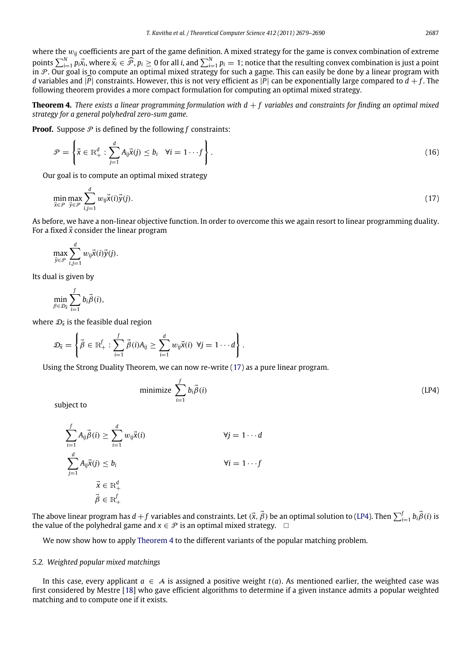where the w*ij* coefficients are part of the game definition. A mixed strategy for the game is convex combination of extreme points  $\sum_{i=1}^{N} p_i \vec{x}_i$ , where  $\vec{x}_i \in \widehat{\mathcal{P}}$ ,  $p_i \geq 0$  for all i, and  $\sum_{i=1}^{N} p_i = 1$ ; notice that the resulting convex combination is just a point<br>in  $\mathcal{P}$ . Our goal is to compute an optimal mixed strategy *d* variables and  $|\widehat{P}|$  constraints. However, this is not very efficient as  $|\widehat{P}|$  can be exponentially large compared to  $d + f$ . The following theorem provides a more compact formulation for computing an optimal mixed strategy.

<span id="page-8-2"></span>**Theorem 4.** *There exists a linear programming formulation with d* + *f variables and constraints for finding an optimal mixed strategy for a general polyhedral zero-sum game.*

**Proof.** Suppose  $P$  is defined by the following  $f$  constraints:

$$
\mathcal{P} = \left\{ \vec{x} \in \mathbb{R}_+^d : \sum_{j=1}^d A_{ij} \vec{x}(j) \le b_i \quad \forall i = 1 \cdots f \right\}.
$$
\n(16)

Our goal is to compute an optimal mixed strategy

<span id="page-8-0"></span>
$$
\min_{\vec{x}\in\mathcal{P}}\max_{\vec{y}\in\mathcal{P}}\sum_{i,j=1}^d w_{ij}\vec{x}(i)\vec{y}(j).
$$
\n(17)

As before, we have a non-linear objective function. In order to overcome this we again resort to linear programming duality. For a fixed  $\vec{x}$  consider the linear program

$$
\max_{\vec{y}\in\mathcal{P}}\sum_{i,j=1}^d w_{ij}\vec{x}(i)\vec{y}(j).
$$

Its dual is given by

$$
\min_{\beta \in \mathcal{D}_{\bar{X}}} \sum_{i=1}^f b_i \vec{\beta}(i),
$$

where  $\mathcal{D}_{\vec{\mathsf{x}}}$  is the feasible dual region

$$
\mathcal{D}_{\vec{x}} = \left\{ \vec{\beta} \in \mathbb{R}^f_+ : \sum_{i=1}^f \vec{\beta}(i) A_{ij} \geq \sum_{i=1}^d w_{ij} \vec{x}(i) \ \forall j = 1 \cdots d \right\}.
$$

Using the Strong Duality Theorem, we can now re-write [\(17\)](#page-8-0) as a pure linear program.

<span id="page-8-1"></span>minimize 
$$
\sum_{i=1}^{f} b_i \vec{\beta}(i)
$$
 (LP4)

subject to

$$
\sum_{i=1}^{f} A_{ij} \vec{\beta}(i) \ge \sum_{i=1}^{d} w_{ij} \vec{x}(i)
$$
\n
$$
\forall j = 1 \cdots d
$$
\n
$$
\sum_{j=1}^{d} A_{ij} \vec{x}(j) \le b_i
$$
\n
$$
\vec{x} \in \mathbb{R}_+^d
$$
\n
$$
\vec{\beta} \in \mathbb{R}_+^f
$$

The above linear program has  $d + f$  variables and constraints. Let  $(\vec{x}, \vec{\beta})$  be an optimal solution to [\(LP4\)](#page-8-1). Then  $\sum_{i=1}^{f} b_i \vec{\beta}(i)$  is the value of the polyhedral game and  $x \in \mathcal{P}$  is an optimal mixed strategy.  $\Box$ 

We now show how to apply [Theorem 4](#page-8-2) to the different variants of the popular matching problem.

# *5.2. Weighted popular mixed matchings*

In this case, every applicant  $a \in A$  is assigned a positive weight  $t(a)$ . As mentioned earlier, the weighted case was first considered by Mestre [\[18\]](#page-11-5) who gave efficient algorithms to determine if a given instance admits a popular weighted matching and to compute one if it exists.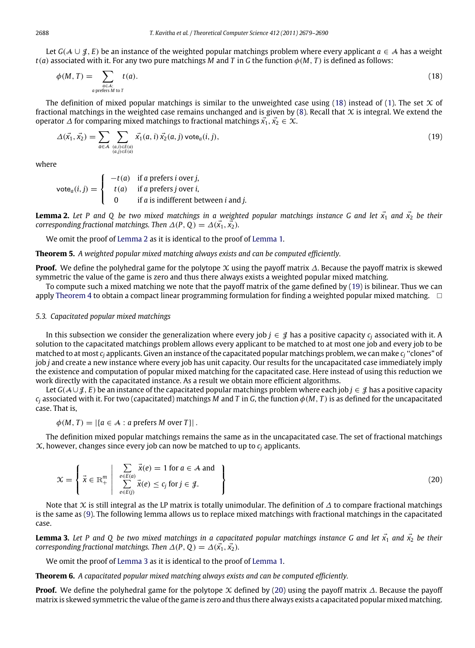Let *<sup>G</sup>*(A ∪ J, *<sup>E</sup>*) be an instance of the weighted popular matchings problem where every applicant *<sup>a</sup>* ∈ A has a weight *t*(*a*) associated with it. For any two pure matchings *M* and *T* in *G* the function φ(*M*, *T* ) is defined as follows:

<span id="page-9-0"></span>
$$
\phi(M,T) = \sum_{\substack{a \in A: \\ a \text{ prefers } M \text{ to } T}} t(a). \tag{18}
$$

The definition of mixed popular matchings is similar to the unweighted case using [\(18\)](#page-9-0) instead of [\(1\)](#page-0-5). The set  $\chi$  of fractional matchings in the weighted case remains unchanged and is given by  $(8)$ . Recall that  $\chi$  is integral. We extend the operator  $\Delta$  for comparing mixed matchings to fractional matchings  $\vec{x_1}, \vec{x_2} \in \mathcal{X}$ .

<span id="page-9-2"></span>
$$
\Delta(\vec{x_1}, \vec{x_2}) = \sum_{a \in \mathcal{A}} \sum_{\substack{(a,i) \in E(a) \\ (a,j) \in E(a)}} \vec{x_1}(a,i) \vec{x_2}(a,j) \text{ vote}_a(i,j), \tag{19}
$$

where

$$
vote_a(i,j) = \begin{cases} -t(a) & \text{if } a \text{ prefers } i \text{ over } j, \\ t(a) & \text{if } a \text{ prefers } j \text{ over } i, \\ 0 & \text{if } a \text{ is indifferent between } i \text{ and } j. \end{cases}
$$

<span id="page-9-1"></span>**Lemma 2.** Let P and Q be two mixed matchings in a weighted popular matchings instance G and let  $\vec{x_1}$  and  $\vec{x_2}$  be their *corresponding fractional matchings. Then*  $\Delta(P, Q) = \Delta(\vec{x_1}, \vec{x_2})$ *.* 

We omit the proof of [Lemma 2](#page-9-1) as it is identical to the proof of [Lemma 1.](#page-4-1)

**Theorem 5.** *A weighted popular mixed matching always exists and can be computed efficiently.*

**Proof.** We define the polyhedral game for the polytope X using the payoff matrix ∆. Because the payoff matrix is skewed symmetric the value of the game is zero and thus there always exists a weighted popular mixed matching.

To compute such a mixed matching we note that the payoff matrix of the game defined by [\(19\)](#page-9-2) is bilinear. Thus we can apply [Theorem 4](#page-8-2) to obtain a compact linear programming formulation for finding a weighted popular mixed matching.  $\Box$ 

#### *5.3. Capacitated popular mixed matchings*

In this subsection we consider the generalization where every job  $j \in \mathcal{J}$  has a positive capacity  $c_j$  associated with it. A solution to the capacitated matchings problem allows every applicant to be matched to at most one job and every job to be matched to at most  $c_j$  applicants. Given an instance of the capacitated popular matchings problem, we can make  $c_j$  "clones" of job *j* and create a new instance where every job has unit capacity. Our results for the uncapacitated case immediately imply the existence and computation of popular mixed matching for the capacitated case. Here instead of using this reduction we work directly with the capacitated instance. As a result we obtain more efficient algorithms.

Let *G*( $A \cup I$ , *E*) be an instance of the capacitated popular matchings problem where each job *j* ∈  $I$  has a positive capacity  $c_i$  associated with it. For two (capacitated) matchings *M* and *T* in *G*, the function  $\phi(M, T)$  is as defined for the uncapacitated case. That is,

$$
\phi(M, T) = |\{a \in \mathcal{A} : a \text{ prefers } M \text{ over } T\}|.
$$

The definition mixed popular matchings remains the same as in the uncapacitated case. The set of fractional matchings  $X$ , however, changes since every job can now be matched to up to  $c_i$  applicants.

<span id="page-9-4"></span>
$$
\mathcal{X} = \left\{ \vec{x} \in \mathbb{R}^m_+ \middle| \begin{array}{l} \sum_{e \in E(a)} \vec{x}(e) = 1 \text{ for } a \in \mathcal{A} \text{ and} \\ \sum_{e \in E(j)} \vec{x}(e) \le c_j \text{ for } j \in \mathcal{J}. \end{array} \right\}
$$
 (20)

Note that  $\chi$  is still integral as the LP matrix is totally unimodular. The definition of  $\Delta$  to compare fractional matchings is the same as [\(9\)](#page-4-2). The following lemma allows us to replace mixed matchings with fractional matchings in the capacitated case.

<span id="page-9-3"></span>**Lemma 3.** Let P and Q be two mixed matchings in a capacitated popular matchings instance G and let  $\vec{x_1}$  and  $\vec{x_2}$  be their *corresponding fractional matchings. Then*  $\Delta(P, Q) = \Delta(\vec{x_1}, \vec{x_2})$ *.* 

We omit the proof of [Lemma 3](#page-9-3) as it is identical to the proof of [Lemma 1.](#page-4-1)

**Theorem 6.** *A capacitated popular mixed matching always exists and can be computed efficiently.*

Proof. We define the polyhedral game for the polytope X defined by [\(20\)](#page-9-4) using the payoff matrix ∆. Because the payoff matrix is skewed symmetric the value of the game is zero and thus there always exists a capacitated popular mixed matching.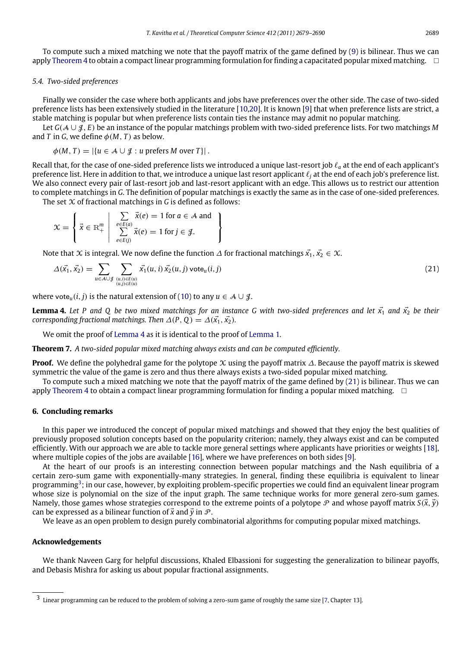To compute such a mixed matching we note that the payoff matrix of the game defined by [\(9\)](#page-4-2) is bilinear. Thus we can apply [Theorem 4](#page-8-2) to obtain a compact linear programming formulation for finding a capacitated popular mixed matching.  $\Box$ 

#### *5.4. Two-sided preferences*

Finally we consider the case where both applicants and jobs have preferences over the other side. The case of two-sided preference lists has been extensively studied in the literature [\[10,](#page-11-19)[20\]](#page-11-20). It is known [\[9\]](#page-11-0) that when preference lists are strict, a stable matching is popular but when preference lists contain ties the instance may admit no popular matching.

Let *<sup>G</sup>*(A ∪ J, *<sup>E</sup>*) be an instance of the popular matchings problem with two-sided preference lists. For two matchings *<sup>M</sup>* and *T* in *G*, we define  $\phi(M, T)$  as below.

$$
\phi(M, T) = |\{u \in \mathcal{A} \cup \mathcal{J} : u \text{ prefers } M \text{ over } T\}|.
$$

Recall that, for the case of one-sided preference lists we introduced a unique last-resort job ℓ*<sup>a</sup>* at the end of each applicant's preference list. Here in addition to that, we introduce a unique last resort applicant ℓ*<sup>j</sup>* at the end of each job's preference list. We also connect every pair of last-resort job and last-resort applicant with an edge. This allows us to restrict our attention to complete matchings in *G*. The definition of popular matchings is exactly the same as in the case of one-sided preferences.

> <span id="page-10-1"></span> $\mathbf{I}$  $\mathbf{I}$  $\mathbf{I}$

The set X of fractional matchings in *G* is defined as follows:

$$
\mathcal{X} = \left\{ \vec{x} \in \mathbb{R}^m_+ \middle| \begin{array}{c} \sum_{e \in E(a)} \vec{x}(e) = 1 \text{ for } a \in \mathcal{A} \text{ and} \\ \sum_{e \in E(j)} \vec{x}(e) = 1 \text{ for } j \in \mathcal{J}. \end{array} \right.
$$

Note that X is integral. We now define the function  $\Delta$  for fractional matchings  $\vec{x_1}, \vec{x_2} \in \mathcal{X}$ .

$$
\Delta(\vec{x_1}, \vec{x_2}) = \sum_{u \in \mathcal{A} \cup \mathcal{J}} \sum_{\substack{(u,i) \in E(u) \\ (u,j) \in E(u)}} \vec{x_1}(u,i) \vec{x_2}(u,j) \text{ vote}_u(i,j) \tag{21}
$$

where vote<sub>*u*</sub>(*i*, *j*) is the natural extension of [\(10\)](#page-4-3) to any  $u \in A \cup J$ .

<span id="page-10-0"></span>**Lemma 4.** Let P and Q be two mixed matchings for an instance G with two-sided preferences and let  $\vec{x_1}$  and  $\vec{x_2}$  be their *corresponding fractional matchings. Then*  $\Delta(P, Q) = \Delta(\vec{x_1}, \vec{x_2})$ *.* 

We omit the proof of [Lemma 4](#page-10-0) as it is identical to the proof of [Lemma 1.](#page-4-1)

**Theorem 7.** *A two-sided popular mixed matching always exists and can be computed efficiently.*

**Proof.** We define the polyhedral game for the polytope X using the payoff matrix ∆. Because the payoff matrix is skewed symmetric the value of the game is zero and thus there always exists a two-sided popular mixed matching.

To compute such a mixed matching we note that the payoff matrix of the game defined by [\(21\)](#page-10-1) is bilinear. Thus we can apply [Theorem 4](#page-8-2) to obtain a compact linear programming formulation for finding a popular mixed matching.  $\square$ 

#### **6. Concluding remarks**

In this paper we introduced the concept of popular mixed matchings and showed that they enjoy the best qualities of previously proposed solution concepts based on the popularity criterion; namely, they always exist and can be computed efficiently. With our approach we are able to tackle more general settings where applicants have priorities or weights [\[18\]](#page-11-5), where multiple copies of the jobs are available [\[16\]](#page-11-4), where we have preferences on both sides [\[9\]](#page-11-0).

At the heart of our proofs is an interesting connection between popular matchings and the Nash equilibria of a certain zero-sum game with exponentially-many strategies. In general, finding these equilibria is equivalent to linear programming<sup>[3](#page-10-2)</sup>; in our case, however, by exploiting problem-specific properties we could find an equivalent linear program whose size is polynomial on the size of the input graph. The same technique works for more general zero-sum games. Namely, those games whose strategies correspond to the extreme points of a polytope  $\mathcal P$  and whose payoff matrix  $S(\vec{x}, \vec{v})$ can be expressed as a bilinear function of  $\vec{x}$  and  $\vec{v}$  in  $\mathcal{P}$ .

We leave as an open problem to design purely combinatorial algorithms for computing popular mixed matchings.

#### **Acknowledgements**

We thank Naveen Garg for helpful discussions, Khaled Elbassioni for suggesting the generalization to bilinear payoffs, and Debasis Mishra for asking us about popular fractional assignments.

<span id="page-10-2"></span><sup>3</sup> Linear programming can be reduced to the problem of solving a zero-sum game of roughly the same size [\[7,](#page-11-21) Chapter 13].